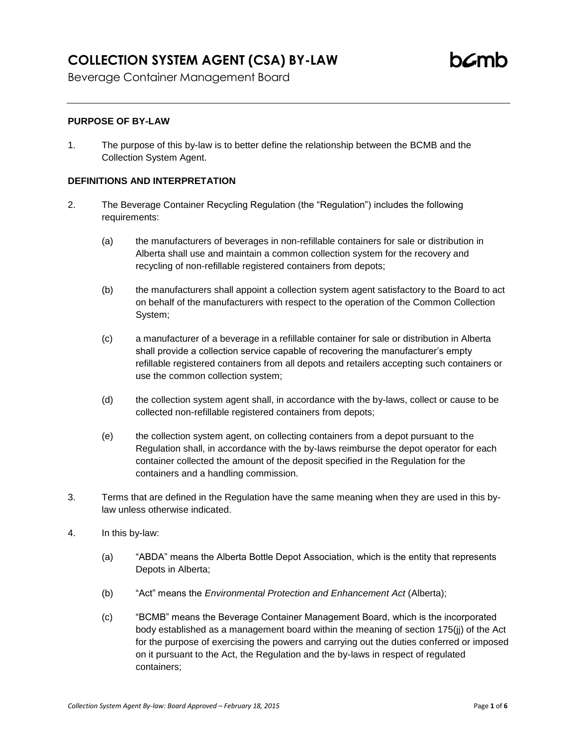# **COLLECTION SYSTEM AGENT (CSA) BY-LAW**

Beverage Container Management Board

# **PURPOSE OF BY-LAW**

1. The purpose of this by-law is to better define the relationship between the BCMB and the Collection System Agent.

## **DEFINITIONS AND INTERPRETATION**

- 2. The Beverage Container Recycling Regulation (the "Regulation") includes the following requirements:
	- (a) the manufacturers of beverages in non-refillable containers for sale or distribution in Alberta shall use and maintain a common collection system for the recovery and recycling of non-refillable registered containers from depots;
	- (b) the manufacturers shall appoint a collection system agent satisfactory to the Board to act on behalf of the manufacturers with respect to the operation of the Common Collection System;
	- (c) a manufacturer of a beverage in a refillable container for sale or distribution in Alberta shall provide a collection service capable of recovering the manufacturer's empty refillable registered containers from all depots and retailers accepting such containers or use the common collection system;
	- (d) the collection system agent shall, in accordance with the by-laws, collect or cause to be collected non-refillable registered containers from depots;
	- (e) the collection system agent, on collecting containers from a depot pursuant to the Regulation shall, in accordance with the by-laws reimburse the depot operator for each container collected the amount of the deposit specified in the Regulation for the containers and a handling commission.
- 3. Terms that are defined in the Regulation have the same meaning when they are used in this bylaw unless otherwise indicated.
- 4. In this by-law:
	- (a) "ABDA" means the Alberta Bottle Depot Association, which is the entity that represents Depots in Alberta;
	- (b) "Act" means the *Environmental Protection and Enhancement Act* (Alberta);
	- (c) "BCMB" means the Beverage Container Management Board, which is the incorporated body established as a management board within the meaning of section 175(jj) of the Act for the purpose of exercising the powers and carrying out the duties conferred or imposed on it pursuant to the Act, the Regulation and the by-laws in respect of regulated containers;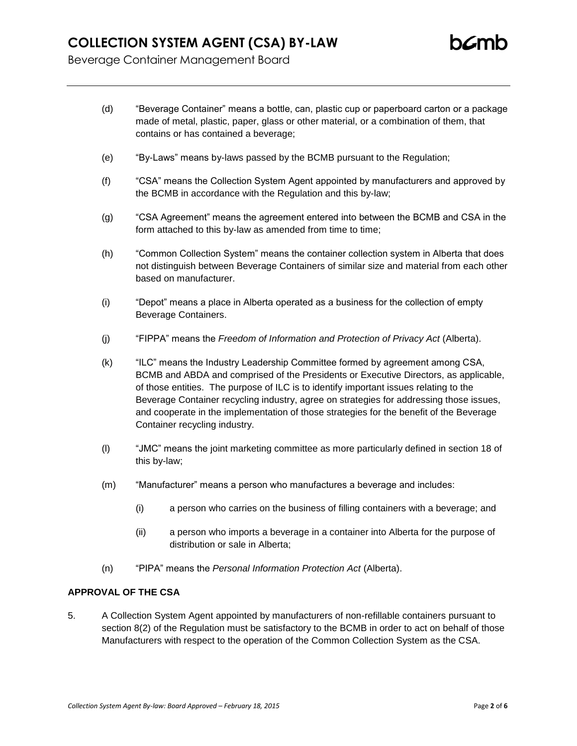- (d) "Beverage Container" means a bottle, can, plastic cup or paperboard carton or a package made of metal, plastic, paper, glass or other material, or a combination of them, that contains or has contained a beverage;
- (e) "By-Laws" means by-laws passed by the BCMB pursuant to the Regulation;
- (f) "CSA" means the Collection System Agent appointed by manufacturers and approved by the BCMB in accordance with the Regulation and this by-law;
- (g) "CSA Agreement" means the agreement entered into between the BCMB and CSA in the form attached to this by-law as amended from time to time;
- (h) "Common Collection System" means the container collection system in Alberta that does not distinguish between Beverage Containers of similar size and material from each other based on manufacturer.
- (i) "Depot" means a place in Alberta operated as a business for the collection of empty Beverage Containers.
- (j) "FIPPA" means the *Freedom of Information and Protection of Privacy Act* (Alberta).
- (k) "ILC" means the Industry Leadership Committee formed by agreement among CSA, BCMB and ABDA and comprised of the Presidents or Executive Directors, as applicable, of those entities. The purpose of ILC is to identify important issues relating to the Beverage Container recycling industry, agree on strategies for addressing those issues, and cooperate in the implementation of those strategies for the benefit of the Beverage Container recycling industry.
- (l) "JMC" means the joint marketing committee as more particularly defined in section 18 of this by-law;
- (m) "Manufacturer" means a person who manufactures a beverage and includes:
	- (i) a person who carries on the business of filling containers with a beverage; and
	- (ii) a person who imports a beverage in a container into Alberta for the purpose of distribution or sale in Alberta;
- (n) "PIPA" means the *Personal Information Protection Act* (Alberta).

#### **APPROVAL OF THE CSA**

5. A Collection System Agent appointed by manufacturers of non-refillable containers pursuant to section 8(2) of the Regulation must be satisfactory to the BCMB in order to act on behalf of those Manufacturers with respect to the operation of the Common Collection System as the CSA.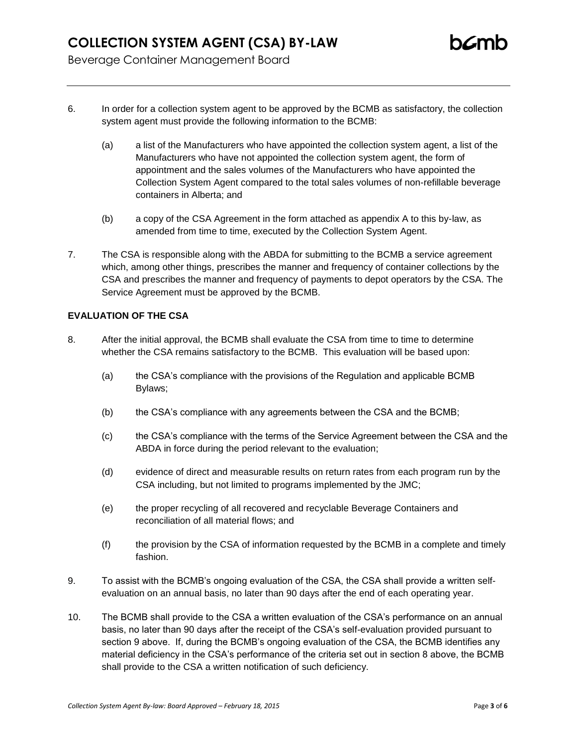- 6. In order for a collection system agent to be approved by the BCMB as satisfactory, the collection system agent must provide the following information to the BCMB:
	- (a) a list of the Manufacturers who have appointed the collection system agent, a list of the Manufacturers who have not appointed the collection system agent, the form of appointment and the sales volumes of the Manufacturers who have appointed the Collection System Agent compared to the total sales volumes of non-refillable beverage containers in Alberta; and
	- (b) a copy of the CSA Agreement in the form attached as appendix A to this by-law, as amended from time to time, executed by the Collection System Agent.
- 7. The CSA is responsible along with the ABDA for submitting to the BCMB a service agreement which, among other things, prescribes the manner and frequency of container collections by the CSA and prescribes the manner and frequency of payments to depot operators by the CSA. The Service Agreement must be approved by the BCMB.

## **EVALUATION OF THE CSA**

- 8. After the initial approval, the BCMB shall evaluate the CSA from time to time to determine whether the CSA remains satisfactory to the BCMB. This evaluation will be based upon:
	- (a) the CSA's compliance with the provisions of the Regulation and applicable BCMB Bylaws;
	- (b) the CSA's compliance with any agreements between the CSA and the BCMB;
	- (c) the CSA's compliance with the terms of the Service Agreement between the CSA and the ABDA in force during the period relevant to the evaluation;
	- (d) evidence of direct and measurable results on return rates from each program run by the CSA including, but not limited to programs implemented by the JMC;
	- (e) the proper recycling of all recovered and recyclable Beverage Containers and reconciliation of all material flows; and
	- (f) the provision by the CSA of information requested by the BCMB in a complete and timely fashion.
- 9. To assist with the BCMB's ongoing evaluation of the CSA, the CSA shall provide a written selfevaluation on an annual basis, no later than 90 days after the end of each operating year.
- 10. The BCMB shall provide to the CSA a written evaluation of the CSA's performance on an annual basis, no later than 90 days after the receipt of the CSA's self-evaluation provided pursuant to section 9 above. If, during the BCMB's ongoing evaluation of the CSA, the BCMB identifies any material deficiency in the CSA's performance of the criteria set out in section 8 above, the BCMB shall provide to the CSA a written notification of such deficiency.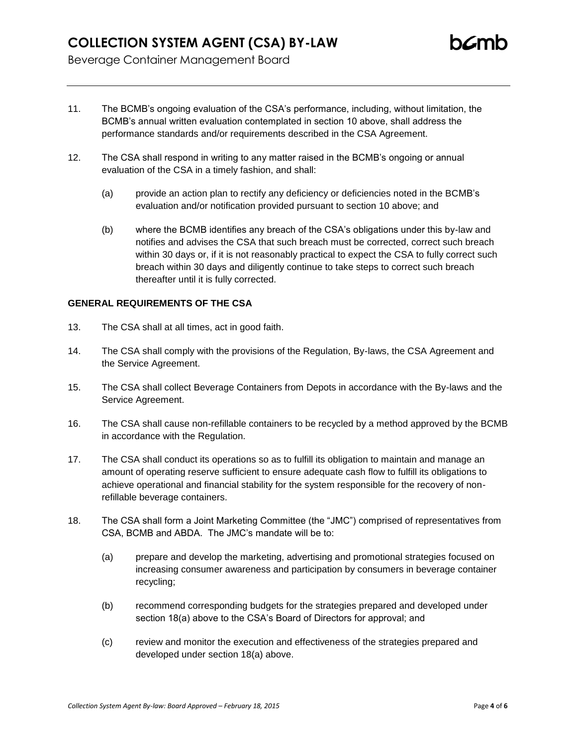- 11. The BCMB's ongoing evaluation of the CSA's performance, including, without limitation, the BCMB's annual written evaluation contemplated in section 10 above, shall address the performance standards and/or requirements described in the CSA Agreement.
- 12. The CSA shall respond in writing to any matter raised in the BCMB's ongoing or annual evaluation of the CSA in a timely fashion, and shall:
	- (a) provide an action plan to rectify any deficiency or deficiencies noted in the BCMB's evaluation and/or notification provided pursuant to section 10 above; and
	- (b) where the BCMB identifies any breach of the CSA's obligations under this by-law and notifies and advises the CSA that such breach must be corrected, correct such breach within 30 days or, if it is not reasonably practical to expect the CSA to fully correct such breach within 30 days and diligently continue to take steps to correct such breach thereafter until it is fully corrected.

#### **GENERAL REQUIREMENTS OF THE CSA**

- 13. The CSA shall at all times, act in good faith.
- 14. The CSA shall comply with the provisions of the Regulation, By-laws, the CSA Agreement and the Service Agreement.
- 15. The CSA shall collect Beverage Containers from Depots in accordance with the By-laws and the Service Agreement.
- 16. The CSA shall cause non-refillable containers to be recycled by a method approved by the BCMB in accordance with the Regulation.
- 17. The CSA shall conduct its operations so as to fulfill its obligation to maintain and manage an amount of operating reserve sufficient to ensure adequate cash flow to fulfill its obligations to achieve operational and financial stability for the system responsible for the recovery of nonrefillable beverage containers.
- 18. The CSA shall form a Joint Marketing Committee (the "JMC") comprised of representatives from CSA, BCMB and ABDA. The JMC's mandate will be to:
	- (a) prepare and develop the marketing, advertising and promotional strategies focused on increasing consumer awareness and participation by consumers in beverage container recycling;
	- (b) recommend corresponding budgets for the strategies prepared and developed under section 18(a) above to the CSA's Board of Directors for approval; and
	- (c) review and monitor the execution and effectiveness of the strategies prepared and developed under section 18(a) above.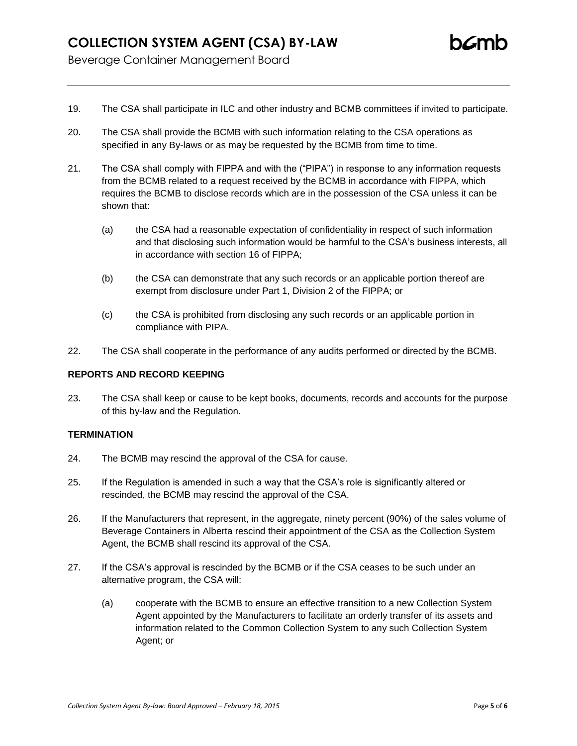- 19. The CSA shall participate in ILC and other industry and BCMB committees if invited to participate.
- 20. The CSA shall provide the BCMB with such information relating to the CSA operations as specified in any By-laws or as may be requested by the BCMB from time to time.
- 21. The CSA shall comply with FIPPA and with the ("PIPA") in response to any information requests from the BCMB related to a request received by the BCMB in accordance with FIPPA, which requires the BCMB to disclose records which are in the possession of the CSA unless it can be shown that:
	- (a) the CSA had a reasonable expectation of confidentiality in respect of such information and that disclosing such information would be harmful to the CSA's business interests, all in accordance with section 16 of FIPPA;
	- (b) the CSA can demonstrate that any such records or an applicable portion thereof are exempt from disclosure under Part 1, Division 2 of the FIPPA; or
	- (c) the CSA is prohibited from disclosing any such records or an applicable portion in compliance with PIPA.
- 22. The CSA shall cooperate in the performance of any audits performed or directed by the BCMB.

### **REPORTS AND RECORD KEEPING**

23. The CSA shall keep or cause to be kept books, documents, records and accounts for the purpose of this by-law and the Regulation.

## **TERMINATION**

- 24. The BCMB may rescind the approval of the CSA for cause.
- 25. If the Regulation is amended in such a way that the CSA's role is significantly altered or rescinded, the BCMB may rescind the approval of the CSA.
- 26. If the Manufacturers that represent, in the aggregate, ninety percent (90%) of the sales volume of Beverage Containers in Alberta rescind their appointment of the CSA as the Collection System Agent, the BCMB shall rescind its approval of the CSA.
- 27. If the CSA's approval is rescinded by the BCMB or if the CSA ceases to be such under an alternative program, the CSA will:
	- (a) cooperate with the BCMB to ensure an effective transition to a new Collection System Agent appointed by the Manufacturers to facilitate an orderly transfer of its assets and information related to the Common Collection System to any such Collection System Agent; or